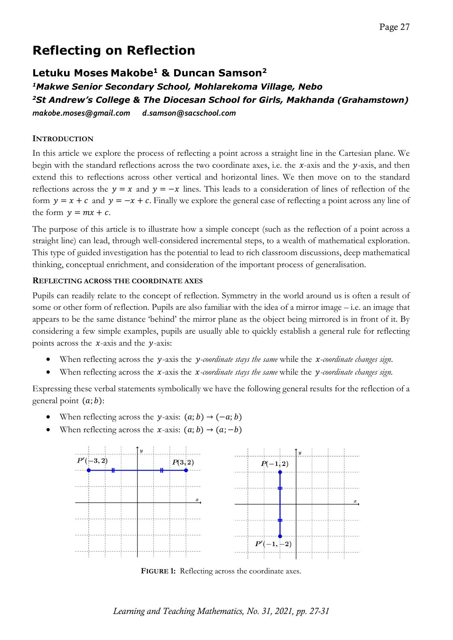# **Reflecting on Reflection**

## **Letuku Moses Makobe1 & Duncan Samson2**

*1Makwe Senior Secondary School, Mohlarekoma Village, Nebo 2St Andrew's College & The Diocesan School for Girls, Makhanda (Grahamstown) makobe.moses@gmail.com d.samson@sacschool.com*

## **INTRODUCTION**

In this article we explore the process of reflecting a point across a straight line in the Cartesian plane. We begin with the standard reflections across the two coordinate axes, i.e. the  $x$ -axis and the  $y$ -axis, and then extend this to reflections across other vertical and horizontal lines. We then move on to the standard reflections across the  $y = x$  and  $y = -x$  lines. This leads to a consideration of lines of reflection of the form  $y = x + c$  and  $y = -x + c$ . Finally we explore the general case of reflecting a point across any line of the form  $y = mx + c$ .

The purpose of this article is to illustrate how a simple concept (such as the reflection of a point across a straight line) can lead, through well-considered incremental steps, to a wealth of mathematical exploration. This type of guided investigation has the potential to lead to rich classroom discussions, deep mathematical thinking, conceptual enrichment, and consideration of the important process of generalisation.

## **REFLECTING ACROSS THE COORDINATE AXES**

Pupils can readily relate to the concept of reflection. Symmetry in the world around us is often a result of some or other form of reflection. Pupils are also familiar with the idea of a mirror image – i.e. an image that appears to be the same distance 'behind' the mirror plane as the object being mirrored is in front of it. By considering a few simple examples, pupils are usually able to quickly establish a general rule for reflecting points across the  $x$ -axis and the  $y$ -axis:

- When reflecting across the *y*-axis the *y-coordinate stays the same* while the *x-coordinate changes sign*.
- When reflecting across the *x*-axis the *x-coordinate stays the same* while the *y-coordinate changes sign.*

Expressing these verbal statements symbolically we have the following general results for the reflection of a general point  $(a; b)$ :

- When reflecting across the y-axis:  $(a; b) \rightarrow (-a; b)$
- When reflecting across the x-axis:  $(a; b) \rightarrow (a; -b)$



**FIGURE 1:** Reflecting across the coordinate axes.

*Learning and Teaching Mathematics, No. 31, 2021, pp. 27-31*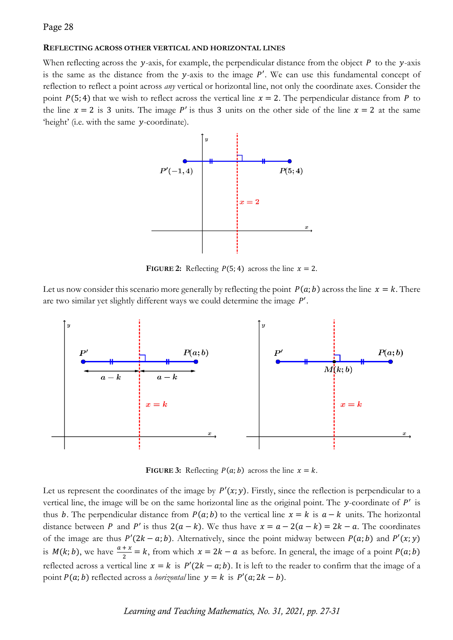#### **REFLECTING ACROSS OTHER VERTICAL AND HORIZONTAL LINES**

When reflecting across the y-axis, for example, the perpendicular distance from the object  $P$  to the y-axis is the same as the distance from the y-axis to the image  $P'$ . We can use this fundamental concept of reflection to reflect a point across *any* vertical or horizontal line, not only the coordinate axes. Consider the point  $P(5; 4)$  that we wish to reflect across the vertical line  $x = 2$ . The perpendicular distance from P to the line  $x = 2$  is 3 units. The image P' is thus 3 units on the other side of the line  $x = 2$  at the same 'height' (i.e. with the same y-coordinate).



**FIGURE 2:** Reflecting  $P(5, 4)$  across the line  $x = 2$ .

Let us now consider this scenario more generally by reflecting the point  $P(a; b)$  across the line  $x = k$ . There are two similar yet slightly different ways we could determine the image  $P'$ .



**FIGURE 3:** Reflecting  $P(a; b)$  across the line  $x = k$ .

Let us represent the coordinates of the image by  $P'(x; y)$ . Firstly, since the reflection is perpendicular to a vertical line, the image will be on the same horizontal line as the original point. The  $\gamma$ -coordinate of  $P'$  is thus b. The perpendicular distance from  $P(a; b)$  to the vertical line  $x = k$  is  $a - k$  units. The horizontal distance between P and P' is thus  $2(a - k)$ . We thus have  $x = a - 2(a - k) = 2k - a$ . The coordinates of the image are thus  $P'(2k - a; b)$ . Alternatively, since the point midway between  $P(a; b)$  and  $P'(x; y)$ is  $M(k; b)$ , we have  $\frac{a+x}{2} = k$ , from which  $x = 2k - a$  as before. In general, the image of a point  $P(a; b)$ reflected across a vertical line  $x = k$  is  $P'(2k - a; b)$ . It is left to the reader to confirm that the image of a point  $P(a; b)$  reflected across a *horizontal* line  $y = k$  is  $P'(a; 2k - b)$ .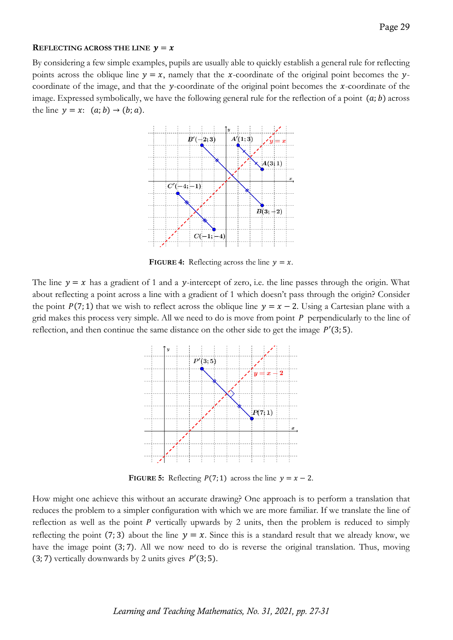#### **REFLECTING ACROSS THE LINE**  $y = x$

By considering a few simple examples, pupils are usually able to quickly establish a general rule for reflecting points across the oblique line  $y = x$ , namely that the x-coordinate of the original point becomes the ycoordinate of the image, and that the  $y$ -coordinate of the original point becomes the  $x$ -coordinate of the image. Expressed symbolically, we have the following general rule for the reflection of a point  $(a, b)$  across the line  $y = x$ :  $(a; b) \rightarrow (b; a)$ .



**FIGURE 4:** Reflecting across the line  $y = x$ .

The line  $y = x$  has a gradient of 1 and a y-intercept of zero, i.e. the line passes through the origin. What about reflecting a point across a line with a gradient of 1 which doesn't pass through the origin? Consider the point  $P(7; 1)$  that we wish to reflect across the oblique line  $y = x - 2$ . Using a Cartesian plane with a grid makes this process very simple. All we need to do is move from point  $P$  perpendicularly to the line of reflection, and then continue the same distance on the other side to get the image  $P'(3; 5)$ .



**FIGURE 5:** Reflecting  $P(7; 1)$  across the line  $y = x - 2$ .

How might one achieve this without an accurate drawing? One approach is to perform a translation that reduces the problem to a simpler configuration with which we are more familiar. If we translate the line of reflection as well as the point  $P$  vertically upwards by 2 units, then the problem is reduced to simply reflecting the point (7; 3) about the line  $y = x$ . Since this is a standard result that we already know, we have the image point (3,7). All we now need to do is reverse the original translation. Thus, moving (3; 7) vertically downwards by 2 units gives  $P'(3; 5)$ .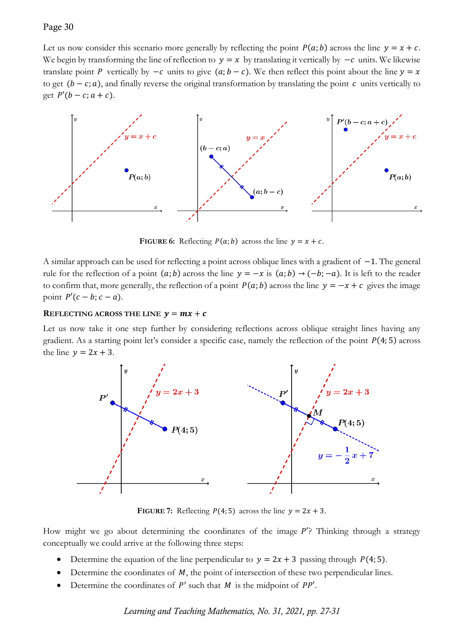### Page 30

Let us now consider this scenario more generally by reflecting the point  $P(a; b)$  across the line  $y = x + c$ . We begin by transforming the line of reflection to  $y = x$  by translating it vertically by  $-c$  units. We likewise translate point P vertically by  $-c$  units to give  $(a; b - c)$ . We then reflect this point about the line  $y = x$ to get  $(b - c; a)$ , and finally reverse the original transformation by translating the point  $c$  units vertically to get  $P'(b - c; a + c)$ .



**FIGURE 6:** Reflecting  $P(a; b)$  across the line  $y = x + c$ .

A similar approach can be used for reflecting a point across oblique lines with a gradient of −1. The general rule for the reflection of a point  $(a; b)$  across the line  $y = -x$  is  $(a; b) \rightarrow (-b; -a)$ . It is left to the reader to confirm that, more generally, the reflection of a point  $P(a; b)$  across the line  $y = -x + c$  gives the image point  $P'(c - b; c - a)$ .

#### **REFLECTING ACROSS THE LINE**  $v = mx + c$

Let us now take it one step further by considering reflections across oblique straight lines having any gradient. As a starting point let's consider a specific case, namely the reflection of the point  $P(4; 5)$  across the line  $y = 2x + 3$ .



**FIGURE 7:** Reflecting  $P(4; 5)$  across the line  $y = 2x + 3$ .

How might we go about determining the coordinates of the image  $P'$ ? Thinking through a strategy conceptually we could arrive at the following three steps:

- Determine the equation of the line perpendicular to  $y = 2x + 3$  passing through  $P(4, 5)$ .
- Determine the coordinates of  $M$ , the point of intersection of these two perpendicular lines.
- Determine the coordinates of  $P'$  such that  $M$  is the midpoint of  $PP'$ .